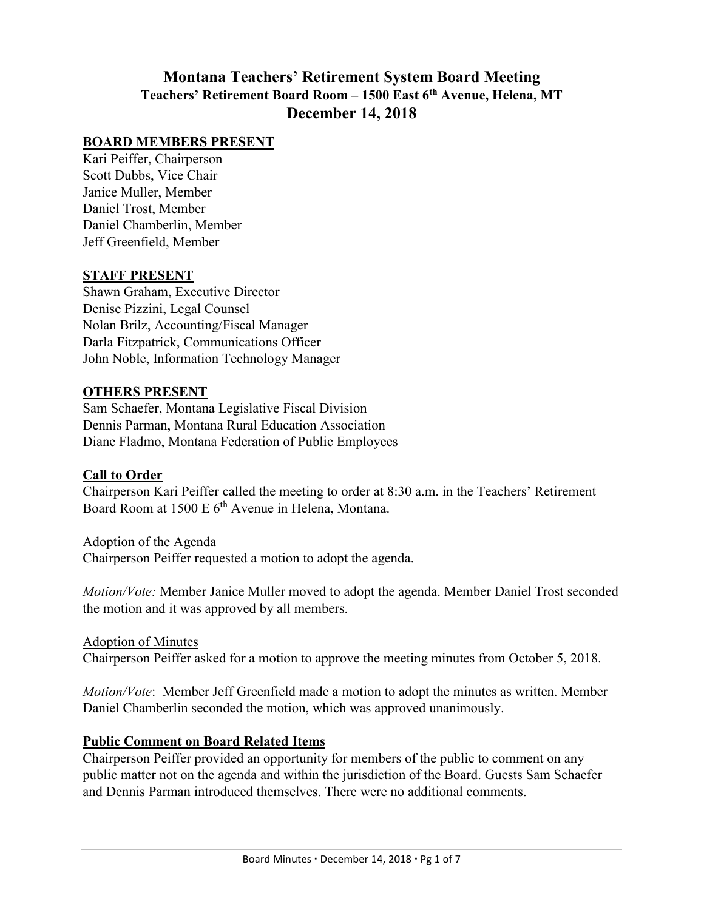# **Montana Teachers' Retirement System Board Meeting Teachers' Retirement Board Room – 1500 East 6th Avenue, Helena, MT December 14, 2018**

#### **BOARD MEMBERS PRESENT**

Kari Peiffer, Chairperson Scott Dubbs, Vice Chair Janice Muller, Member Daniel Trost, Member Daniel Chamberlin, Member Jeff Greenfield, Member

#### **STAFF PRESENT**

Shawn Graham, Executive Director Denise Pizzini, Legal Counsel Nolan Brilz, Accounting/Fiscal Manager Darla Fitzpatrick, Communications Officer John Noble, Information Technology Manager

#### **OTHERS PRESENT**

Sam Schaefer, Montana Legislative Fiscal Division Dennis Parman, Montana Rural Education Association Diane Fladmo, Montana Federation of Public Employees

#### **Call to Order**

Chairperson Kari Peiffer called the meeting to order at 8:30 a.m. in the Teachers' Retirement Board Room at 1500 E 6<sup>th</sup> Avenue in Helena, Montana.

Adoption of the Agenda Chairperson Peiffer requested a motion to adopt the agenda.

*Motion/Vote:* Member Janice Muller moved to adopt the agenda. Member Daniel Trost seconded the motion and it was approved by all members.

Adoption of Minutes Chairperson Peiffer asked for a motion to approve the meeting minutes from October 5, 2018.

*Motion/Vote*: Member Jeff Greenfield made a motion to adopt the minutes as written. Member Daniel Chamberlin seconded the motion, which was approved unanimously.

### **Public Comment on Board Related Items**

Chairperson Peiffer provided an opportunity for members of the public to comment on any public matter not on the agenda and within the jurisdiction of the Board. Guests Sam Schaefer and Dennis Parman introduced themselves. There were no additional comments.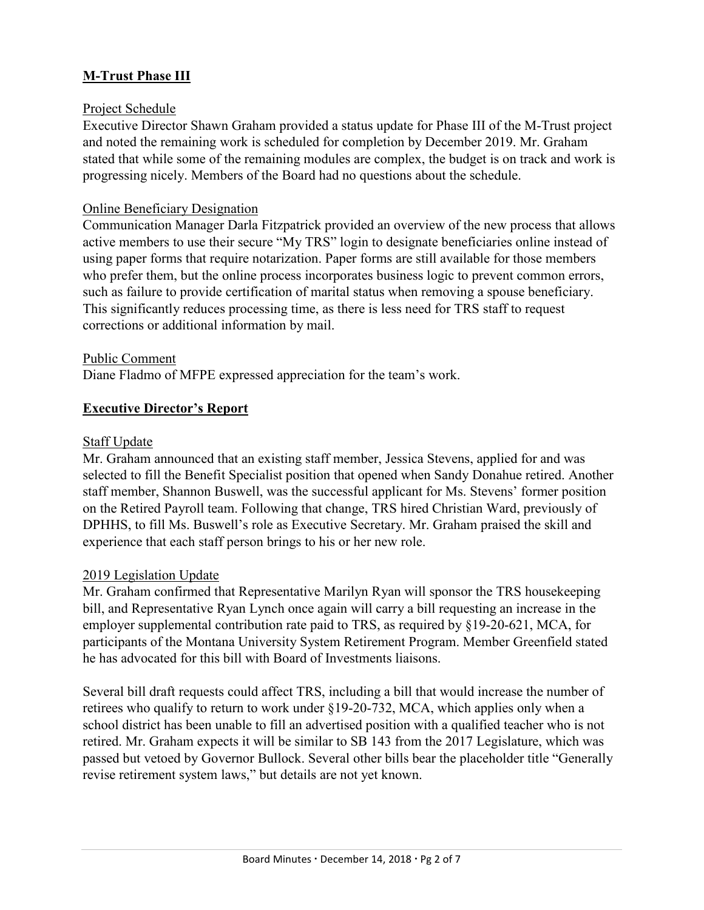# **M-Trust Phase III**

### Project Schedule

Executive Director Shawn Graham provided a status update for Phase III of the M-Trust project and noted the remaining work is scheduled for completion by December 2019. Mr. Graham stated that while some of the remaining modules are complex, the budget is on track and work is progressing nicely. Members of the Board had no questions about the schedule.

### Online Beneficiary Designation

Communication Manager Darla Fitzpatrick provided an overview of the new process that allows active members to use their secure "My TRS" login to designate beneficiaries online instead of using paper forms that require notarization. Paper forms are still available for those members who prefer them, but the online process incorporates business logic to prevent common errors, such as failure to provide certification of marital status when removing a spouse beneficiary. This significantly reduces processing time, as there is less need for TRS staff to request corrections or additional information by mail.

### Public Comment

Diane Fladmo of MFPE expressed appreciation for the team's work.

# **Executive Director's Report**

### Staff Update

Mr. Graham announced that an existing staff member, Jessica Stevens, applied for and was selected to fill the Benefit Specialist position that opened when Sandy Donahue retired. Another staff member, Shannon Buswell, was the successful applicant for Ms. Stevens' former position on the Retired Payroll team. Following that change, TRS hired Christian Ward, previously of DPHHS, to fill Ms. Buswell's role as Executive Secretary. Mr. Graham praised the skill and experience that each staff person brings to his or her new role.

### 2019 Legislation Update

Mr. Graham confirmed that Representative Marilyn Ryan will sponsor the TRS housekeeping bill, and Representative Ryan Lynch once again will carry a bill requesting an increase in the employer supplemental contribution rate paid to TRS, as required by §19-20-621, MCA, for participants of the Montana University System Retirement Program. Member Greenfield stated he has advocated for this bill with Board of Investments liaisons.

Several bill draft requests could affect TRS, including a bill that would increase the number of retirees who qualify to return to work under §19-20-732, MCA, which applies only when a school district has been unable to fill an advertised position with a qualified teacher who is not retired. Mr. Graham expects it will be similar to SB 143 from the 2017 Legislature, which was passed but vetoed by Governor Bullock. Several other bills bear the placeholder title "Generally revise retirement system laws," but details are not yet known.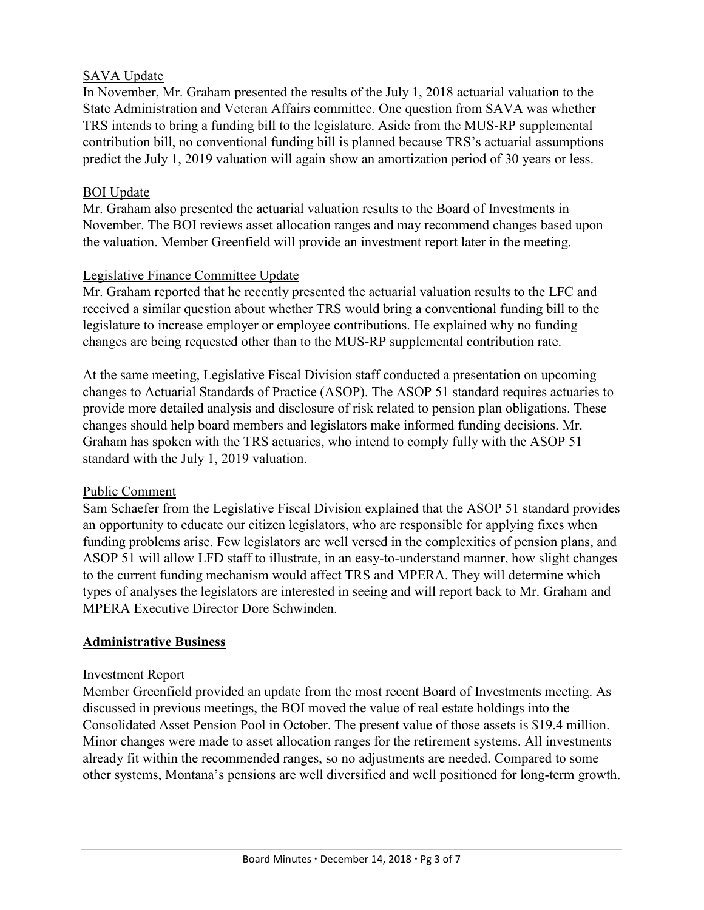### **SAVA Update**

In November, Mr. Graham presented the results of the July 1, 2018 actuarial valuation to the State Administration and Veteran Affairs committee. One question from SAVA was whether TRS intends to bring a funding bill to the legislature. Aside from the MUS-RP supplemental contribution bill, no conventional funding bill is planned because TRS's actuarial assumptions predict the July 1, 2019 valuation will again show an amortization period of 30 years or less.

#### BOI Update

Mr. Graham also presented the actuarial valuation results to the Board of Investments in November. The BOI reviews asset allocation ranges and may recommend changes based upon the valuation. Member Greenfield will provide an investment report later in the meeting.

#### Legislative Finance Committee Update

Mr. Graham reported that he recently presented the actuarial valuation results to the LFC and received a similar question about whether TRS would bring a conventional funding bill to the legislature to increase employer or employee contributions. He explained why no funding changes are being requested other than to the MUS-RP supplemental contribution rate.

At the same meeting, Legislative Fiscal Division staff conducted a presentation on upcoming changes to Actuarial Standards of Practice (ASOP). The ASOP 51 standard requires actuaries to provide more detailed analysis and disclosure of risk related to pension plan obligations. These changes should help board members and legislators make informed funding decisions. Mr. Graham has spoken with the TRS actuaries, who intend to comply fully with the ASOP 51 standard with the July 1, 2019 valuation.

#### Public Comment

Sam Schaefer from the Legislative Fiscal Division explained that the ASOP 51 standard provides an opportunity to educate our citizen legislators, who are responsible for applying fixes when funding problems arise. Few legislators are well versed in the complexities of pension plans, and ASOP 51 will allow LFD staff to illustrate, in an easy-to-understand manner, how slight changes to the current funding mechanism would affect TRS and MPERA. They will determine which types of analyses the legislators are interested in seeing and will report back to Mr. Graham and MPERA Executive Director Dore Schwinden.

### **Administrative Business**

#### Investment Report

Member Greenfield provided an update from the most recent Board of Investments meeting. As discussed in previous meetings, the BOI moved the value of real estate holdings into the Consolidated Asset Pension Pool in October. The present value of those assets is \$19.4 million. Minor changes were made to asset allocation ranges for the retirement systems. All investments already fit within the recommended ranges, so no adjustments are needed. Compared to some other systems, Montana's pensions are well diversified and well positioned for long-term growth.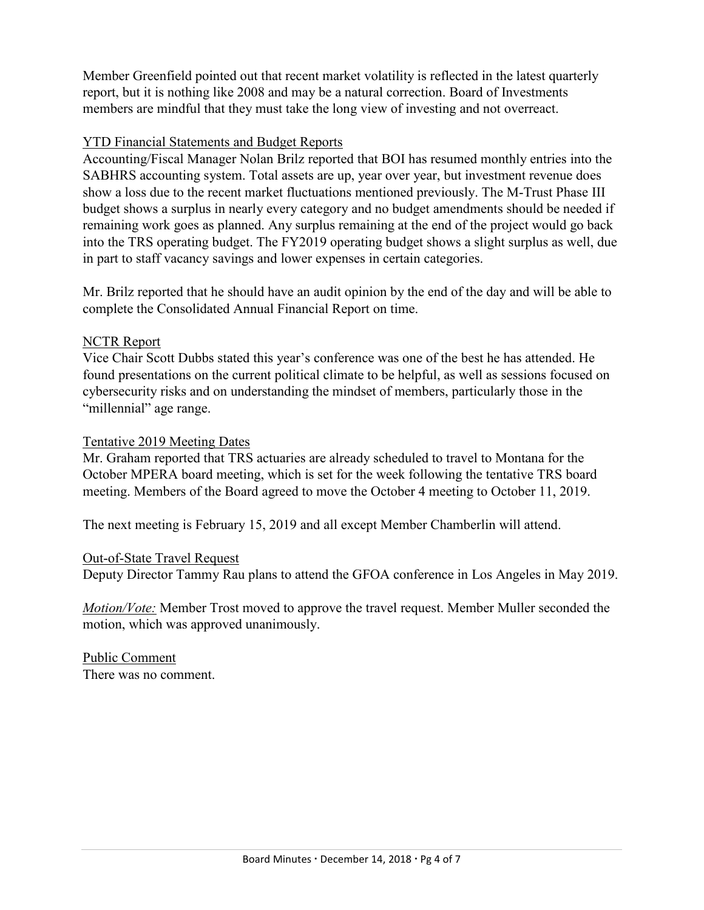Member Greenfield pointed out that recent market volatility is reflected in the latest quarterly report, but it is nothing like 2008 and may be a natural correction. Board of Investments members are mindful that they must take the long view of investing and not overreact.

### YTD Financial Statements and Budget Reports

Accounting/Fiscal Manager Nolan Brilz reported that BOI has resumed monthly entries into the SABHRS accounting system. Total assets are up, year over year, but investment revenue does show a loss due to the recent market fluctuations mentioned previously. The M-Trust Phase III budget shows a surplus in nearly every category and no budget amendments should be needed if remaining work goes as planned. Any surplus remaining at the end of the project would go back into the TRS operating budget. The FY2019 operating budget shows a slight surplus as well, due in part to staff vacancy savings and lower expenses in certain categories.

Mr. Brilz reported that he should have an audit opinion by the end of the day and will be able to complete the Consolidated Annual Financial Report on time.

### NCTR Report

Vice Chair Scott Dubbs stated this year's conference was one of the best he has attended. He found presentations on the current political climate to be helpful, as well as sessions focused on cybersecurity risks and on understanding the mindset of members, particularly those in the "millennial" age range.

#### Tentative 2019 Meeting Dates

Mr. Graham reported that TRS actuaries are already scheduled to travel to Montana for the October MPERA board meeting, which is set for the week following the tentative TRS board meeting. Members of the Board agreed to move the October 4 meeting to October 11, 2019.

The next meeting is February 15, 2019 and all except Member Chamberlin will attend.

#### Out-of-State Travel Request

Deputy Director Tammy Rau plans to attend the GFOA conference in Los Angeles in May 2019.

*Motion/Vote:* Member Trost moved to approve the travel request. Member Muller seconded the motion, which was approved unanimously.

Public Comment There was no comment.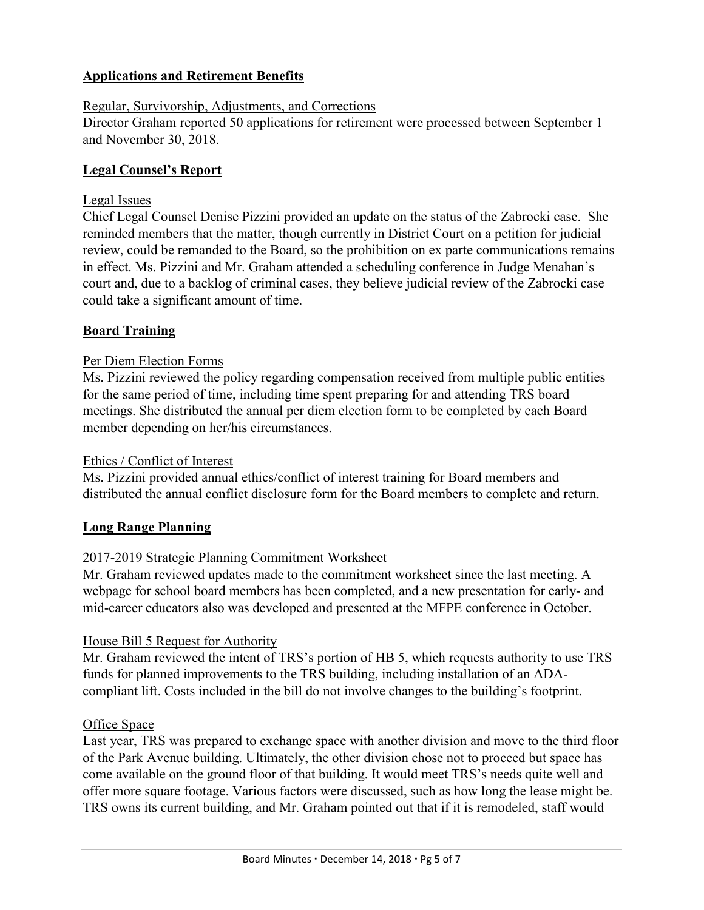# **Applications and Retirement Benefits**

#### Regular, Survivorship, Adjustments, and Corrections

Director Graham reported 50 applications for retirement were processed between September 1 and November 30, 2018.

#### **Legal Counsel's Report**

#### Legal Issues

Chief Legal Counsel Denise Pizzini provided an update on the status of the Zabrocki case. She reminded members that the matter, though currently in District Court on a petition for judicial review, could be remanded to the Board, so the prohibition on ex parte communications remains in effect. Ms. Pizzini and Mr. Graham attended a scheduling conference in Judge Menahan's court and, due to a backlog of criminal cases, they believe judicial review of the Zabrocki case could take a significant amount of time.

#### **Board Training**

#### Per Diem Election Forms

Ms. Pizzini reviewed the policy regarding compensation received from multiple public entities for the same period of time, including time spent preparing for and attending TRS board meetings. She distributed the annual per diem election form to be completed by each Board member depending on her/his circumstances.

#### Ethics / Conflict of Interest

Ms. Pizzini provided annual ethics/conflict of interest training for Board members and distributed the annual conflict disclosure form for the Board members to complete and return.

#### **Long Range Planning**

### 2017-2019 Strategic Planning Commitment Worksheet

Mr. Graham reviewed updates made to the commitment worksheet since the last meeting. A webpage for school board members has been completed, and a new presentation for early- and mid-career educators also was developed and presented at the MFPE conference in October.

#### House Bill 5 Request for Authority

Mr. Graham reviewed the intent of TRS's portion of HB 5, which requests authority to use TRS funds for planned improvements to the TRS building, including installation of an ADAcompliant lift. Costs included in the bill do not involve changes to the building's footprint.

#### Office Space

Last year, TRS was prepared to exchange space with another division and move to the third floor of the Park Avenue building. Ultimately, the other division chose not to proceed but space has come available on the ground floor of that building. It would meet TRS's needs quite well and offer more square footage. Various factors were discussed, such as how long the lease might be. TRS owns its current building, and Mr. Graham pointed out that if it is remodeled, staff would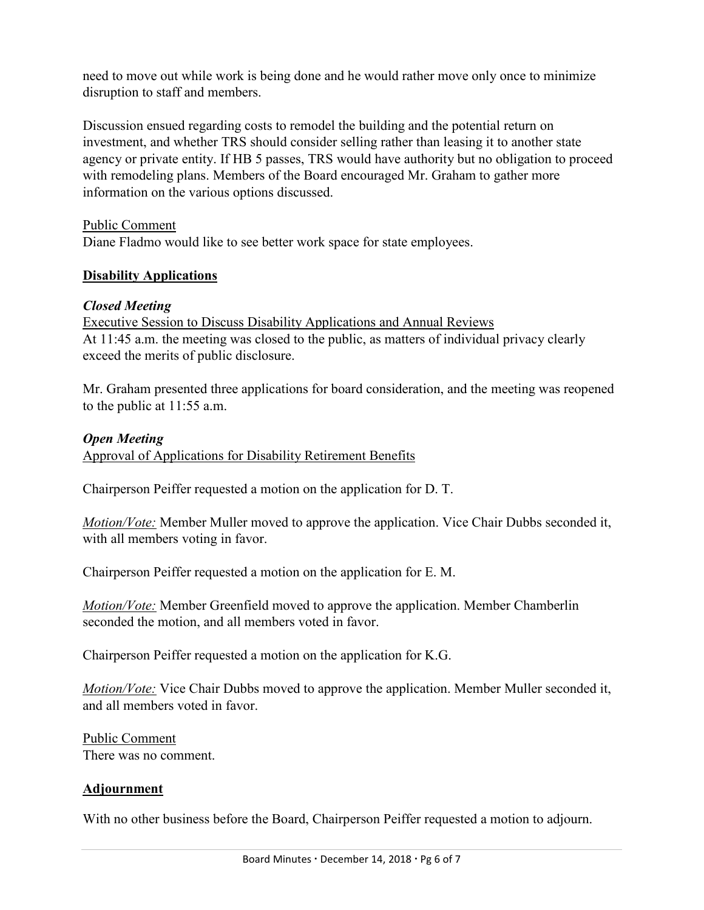need to move out while work is being done and he would rather move only once to minimize disruption to staff and members.

Discussion ensued regarding costs to remodel the building and the potential return on investment, and whether TRS should consider selling rather than leasing it to another state agency or private entity. If HB 5 passes, TRS would have authority but no obligation to proceed with remodeling plans. Members of the Board encouraged Mr. Graham to gather more information on the various options discussed.

Public Comment Diane Fladmo would like to see better work space for state employees.

# **Disability Applications**

# *Closed Meeting*

Executive Session to Discuss Disability Applications and Annual Reviews At 11:45 a.m. the meeting was closed to the public, as matters of individual privacy clearly exceed the merits of public disclosure.

Mr. Graham presented three applications for board consideration, and the meeting was reopened to the public at 11:55 a.m.

# *Open Meeting*

Approval of Applications for Disability Retirement Benefits

Chairperson Peiffer requested a motion on the application for D. T.

*Motion/Vote:* Member Muller moved to approve the application. Vice Chair Dubbs seconded it, with all members voting in favor.

Chairperson Peiffer requested a motion on the application for E. M.

*Motion/Vote:* Member Greenfield moved to approve the application. Member Chamberlin seconded the motion, and all members voted in favor.

Chairperson Peiffer requested a motion on the application for K.G.

*Motion/Vote:* Vice Chair Dubbs moved to approve the application. Member Muller seconded it, and all members voted in favor.

Public Comment There was no comment.

# **Adjournment**

With no other business before the Board, Chairperson Peiffer requested a motion to adjourn.